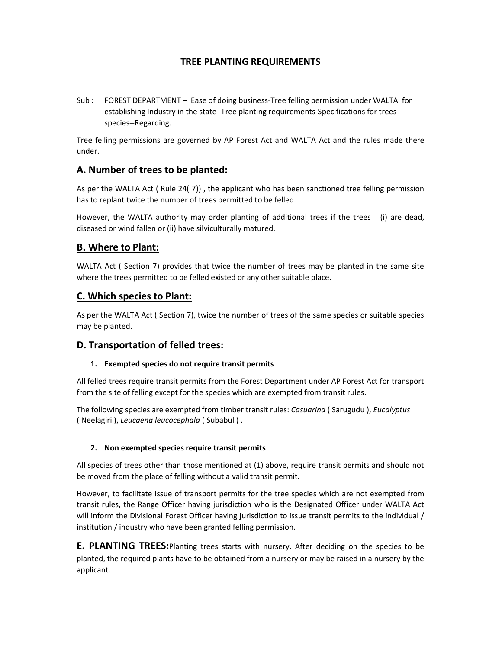# TREE PLANTING REQUIREMENTS

Sub : FOREST DEPARTMENT – Ease of doing business-Tree felling permission under WALTA for establishing Industry in the state -Tree planting requirements-Specifications for trees species--Regarding.

Tree felling permissions are governed by AP Forest Act and WALTA Act and the rules made there under.

# A. Number of trees to be planted:

As per the WALTA Act ( Rule 24( 7)) , the applicant who has been sanctioned tree felling permission has to replant twice the number of trees permitted to be felled.

However, the WALTA authority may order planting of additional trees if the trees (i) are dead, diseased or wind fallen or (ii) have silviculturally matured.

# B. Where to Plant:

WALTA Act ( Section 7) provides that twice the number of trees may be planted in the same site where the trees permitted to be felled existed or any other suitable place.

### C. Which species to Plant:

As per the WALTA Act ( Section 7), twice the number of trees of the same species or suitable species may be planted.

# D. Transportation of felled trees:

### 1. Exempted species do not require transit permits

All felled trees require transit permits from the Forest Department under AP Forest Act for transport from the site of felling except for the species which are exempted from transit rules.

The following species are exempted from timber transit rules: Casuarina (Sarugudu), Eucalyptus ( Neelagiri ), Leucaena leucocephala ( Subabul ) .

### 2. Non exempted species require transit permits

All species of trees other than those mentioned at (1) above, require transit permits and should not be moved from the place of felling without a valid transit permit.

However, to facilitate issue of transport permits for the tree species which are not exempted from transit rules, the Range Officer having jurisdiction who is the Designated Officer under WALTA Act will inform the Divisional Forest Officer having jurisdiction to issue transit permits to the individual / institution / industry who have been granted felling permission.

**E. PLANTING TREES:**Planting trees starts with nursery. After deciding on the species to be planted, the required plants have to be obtained from a nursery or may be raised in a nursery by the applicant.